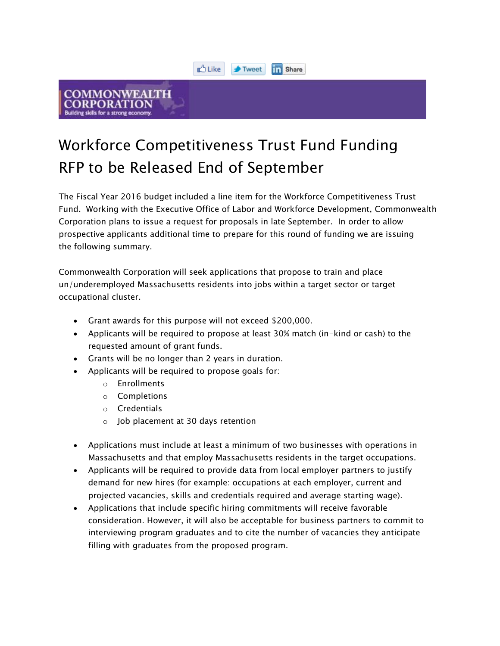

## COMMONWEALTH

## Workforce Competitiveness Trust Fund Funding RFP to be Released End of September

The Fiscal Year 2016 budget included a line item for the Workforce Competitiveness Trust Fund. Working with the Executive Office of Labor and Workforce Development, Commonwealth Corporation plans to issue a request for proposals in late September. In order to allow prospective applicants additional time to prepare for this round of funding we are issuing the following summary.

Commonwealth Corporation will seek applications that propose to train and place un/underemployed Massachusetts residents into jobs within a target sector or target occupational cluster.

- Grant awards for this purpose will not exceed \$200,000.
- Applicants will be required to propose at least 30% match (in-kind or cash) to the requested amount of grant funds.
- Grants will be no longer than 2 years in duration.
- Applicants will be required to propose goals for:
	- o Enrollments
	- o Completions
	- o Credentials
	- o Job placement at 30 days retention
- Applications must include at least a minimum of two businesses with operations in Massachusetts and that employ Massachusetts residents in the target occupations.
- Applicants will be required to provide data from local employer partners to justify demand for new hires (for example: occupations at each employer, current and projected vacancies, skills and credentials required and average starting wage).
- Applications that include specific hiring commitments will receive favorable consideration. However, it will also be acceptable for business partners to commit to interviewing program graduates and to cite the number of vacancies they anticipate filling with graduates from the proposed program.